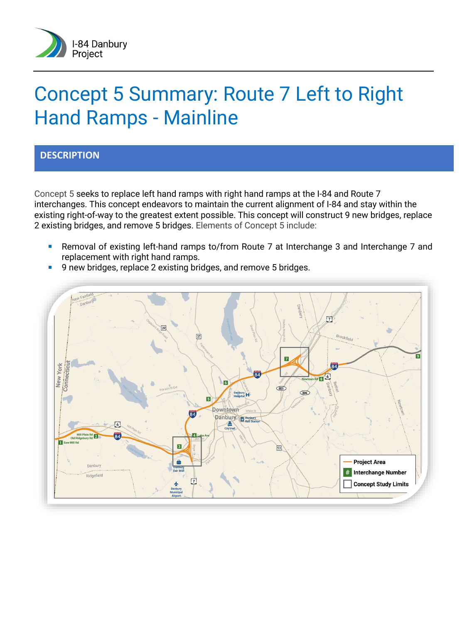

# Concept 5 Summary: Route 7 Left to Right Hand Ramps - Mainline

### **DESCRIPTION**

Concept 5 seeks to replace left hand ramps with right hand ramps at the I-84 and Route 7 interchanges. This concept endeavors to maintain the current alignment of I-84 and stay within the existing right-of-way to the greatest extent possible. This concept will construct 9 new bridges, replace 2 existing bridges, and remove 5 bridges. Elements of Concept 5 include:

- Removal of existing left-hand ramps to/from Route 7 at Interchange 3 and Interchange 7 and replacement with right hand ramps.
- 9 new bridges, replace 2 existing bridges, and remove 5 bridges.